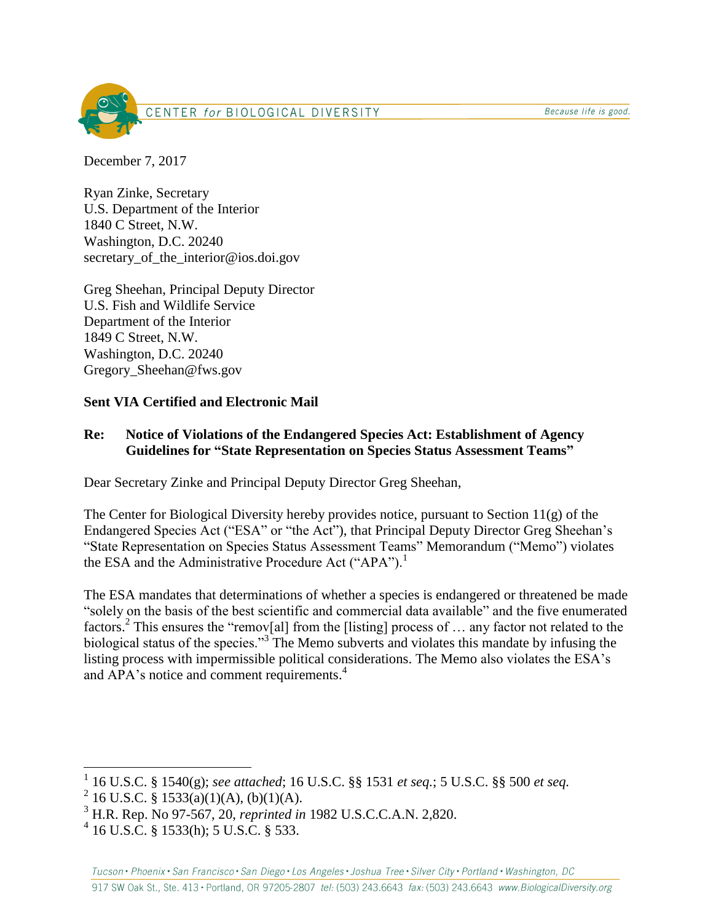Because life is good.



December 7, 2017

Ryan Zinke, Secretary U.S. Department of the Interior 1840 C Street, N.W. Washington, D.C. 20240 secretary of the interior@ios.doi.gov

Greg Sheehan, Principal Deputy Director U.S. Fish and Wildlife Service Department of the Interior 1849 C Street, N.W. Washington, D.C. 20240 Gregory\_Sheehan@fws.gov

## **Sent VIA Certified and Electronic Mail**

### **Re: Notice of Violations of the Endangered Species Act: Establishment of Agency Guidelines for "State Representation on Species Status Assessment Teams"**

Dear Secretary Zinke and Principal Deputy Director Greg Sheehan,

The Center for Biological Diversity hereby provides notice, pursuant to Section 11(g) of the Endangered Species Act ("ESA" or "the Act"), that Principal Deputy Director Greg Sheehan's "State Representation on Species Status Assessment Teams" Memorandum ("Memo") violates the ESA and the Administrative Procedure Act ("APA").<sup>1</sup>

The ESA mandates that determinations of whether a species is endangered or threatened be made "solely on the basis of the best scientific and commercial data available" and the five enumerated factors.<sup>2</sup> This ensures the "remov[al] from the [listing] process of ... any factor not related to the biological status of the species."<sup>3</sup> The Memo subverts and violates this mandate by infusing the listing process with impermissible political considerations. The Memo also violates the ESA's and APA's notice and comment requirements. 4

 $\overline{a}$ 

<sup>1</sup> 16 U.S.C. § 1540(g); *see attached*; 16 U.S.C. §§ 1531 *et seq.*; 5 U.S.C. §§ 500 *et seq.*

 $^{2}$  16 U.S.C. § 1533(a)(1)(A), (b)(1)(A).

<sup>3</sup> H.R. Rep. No 97-567, 20, *reprinted in* 1982 U.S.C.C.A.N. 2,820.

<sup>4</sup> 16 U.S.C. § 1533(h); 5 U.S.C. § 533.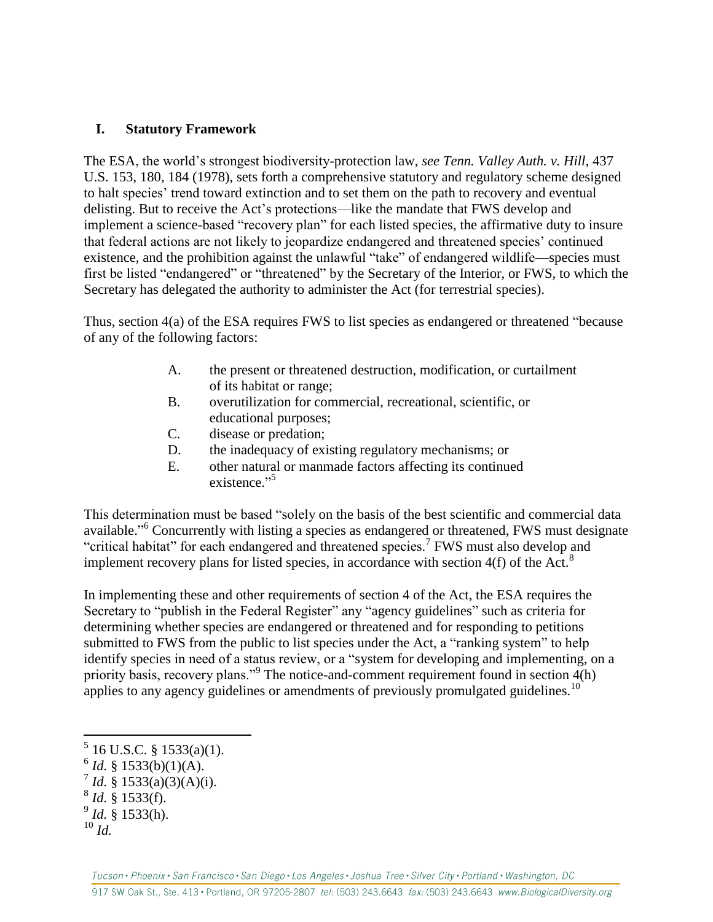#### **I. Statutory Framework**

The ESA, the world's strongest biodiversity-protection law, *see Tenn. Valley Auth. v. Hill*, 437 U.S. 153, 180, 184 (1978), sets forth a comprehensive statutory and regulatory scheme designed to halt species' trend toward extinction and to set them on the path to recovery and eventual delisting. But to receive the Act's protections—like the mandate that FWS develop and implement a science-based "recovery plan" for each listed species, the affirmative duty to insure that federal actions are not likely to jeopardize endangered and threatened species' continued existence, and the prohibition against the unlawful "take" of endangered wildlife—species must first be listed "endangered" or "threatened" by the Secretary of the Interior, or FWS, to which the Secretary has delegated the authority to administer the Act (for terrestrial species).

Thus, section 4(a) of the ESA requires FWS to list species as endangered or threatened "because of any of the following factors:

- A. the present or threatened destruction, modification, or curtailment of its habitat or range;
- B. overutilization for commercial, recreational, scientific, or educational purposes;
- C. disease or predation;
- D. the inadequacy of existing regulatory mechanisms; or
- E. other natural or manmade factors affecting its continued existence."

This determination must be based "solely on the basis of the best scientific and commercial data available."<sup>6</sup> Concurrently with listing a species as endangered or threatened, FWS must designate "critical habitat" for each endangered and threatened species.<sup>7</sup> FWS must also develop and implement recovery plans for listed species, in accordance with section  $4(f)$  of the Act.<sup>8</sup>

In implementing these and other requirements of section 4 of the Act, the ESA requires the Secretary to "publish in the Federal Register" any "agency guidelines" such as criteria for determining whether species are endangered or threatened and for responding to petitions submitted to FWS from the public to list species under the Act, a "ranking system" to help identify species in need of a status review, or a "system for developing and implementing, on a priority basis, recovery plans."<sup>9</sup> The notice-and-comment requirement found in section 4(h) applies to any agency guidelines or amendments of previously promulgated guidelines.<sup>10</sup>

 5 16 U.S.C. § 1533(a)(1).

 $6$  *Id.* § 1533(b)(1)(A).

 $^7$  *Id.* § 1533(a)(3)(A)(i).

<sup>8</sup> *Id.* § 1533(f).

<sup>9</sup> *Id.* § 1533(h).

<sup>10</sup> *Id.*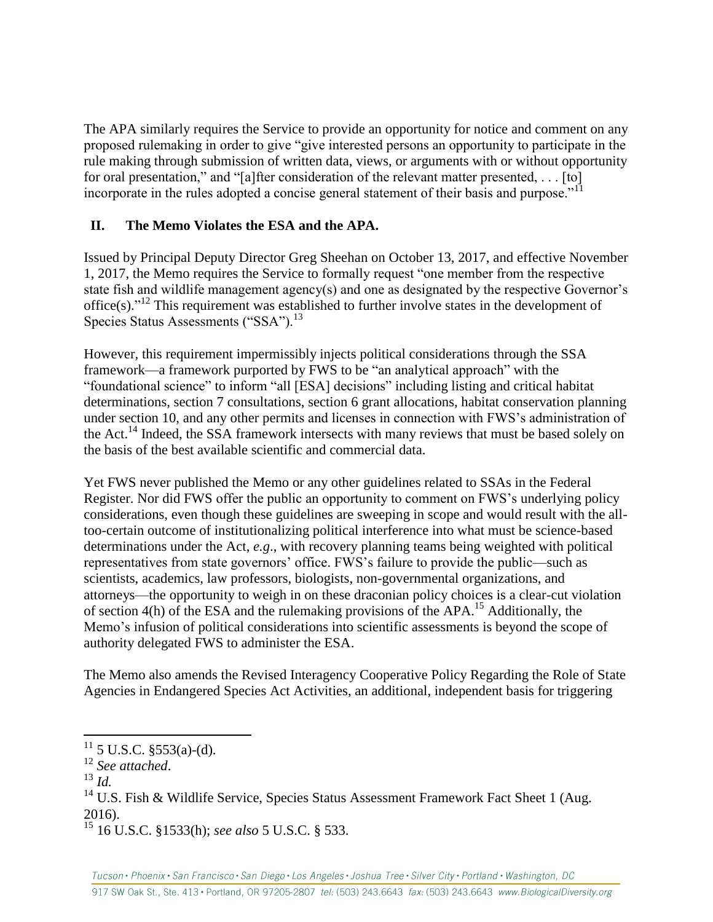The APA similarly requires the Service to provide an opportunity for notice and comment on any proposed rulemaking in order to give "give interested persons an opportunity to participate in the rule making through submission of written data, views, or arguments with or without opportunity for oral presentation," and "[a]fter consideration of the relevant matter presented, . . . [to] incorporate in the rules adopted a concise general statement of their basis and purpose."<sup>11</sup>

# **II. The Memo Violates the ESA and the APA.**

Issued by Principal Deputy Director Greg Sheehan on October 13, 2017, and effective November 1, 2017, the Memo requires the Service to formally request "one member from the respective state fish and wildlife management agency(s) and one as designated by the respective Governor's office(s)." <sup>12</sup> This requirement was established to further involve states in the development of Species Status Assessments ("SSA").<sup>13</sup>

However, this requirement impermissibly injects political considerations through the SSA framework—a framework purported by FWS to be "an analytical approach" with the "foundational science" to inform "all [ESA] decisions" including listing and critical habitat determinations, section 7 consultations, section 6 grant allocations, habitat conservation planning under section 10, and any other permits and licenses in connection with FWS's administration of the Act.<sup>14</sup> Indeed, the SSA framework intersects with many reviews that must be based solely on the basis of the best available scientific and commercial data.

Yet FWS never published the Memo or any other guidelines related to SSAs in the Federal Register. Nor did FWS offer the public an opportunity to comment on FWS's underlying policy considerations, even though these guidelines are sweeping in scope and would result with the alltoo-certain outcome of institutionalizing political interference into what must be science-based determinations under the Act, *e.g*., with recovery planning teams being weighted with political representatives from state governors' office. FWS's failure to provide the public—such as scientists, academics, law professors, biologists, non-governmental organizations, and attorneys—the opportunity to weigh in on these draconian policy choices is a clear-cut violation of section  $4(h)$  of the ESA and the rulemaking provisions of the APA.<sup>15</sup> Additionally, the Memo's infusion of political considerations into scientific assessments is beyond the scope of authority delegated FWS to administer the ESA.

The Memo also amends the Revised Interagency Cooperative Policy Regarding the Role of State Agencies in Endangered Species Act Activities, an additional, independent basis for triggering

 $\overline{a}$ 

 $11\,$  5 U.S.C. §553(a)-(d).

<sup>12</sup> *See attached*.

<sup>13</sup> *Id.*

 $14$  U.S. Fish & Wildlife Service, Species Status Assessment Framework Fact Sheet 1 (Aug. 2016).

<sup>15</sup> 16 U.S.C. §1533(h); *see also* 5 U.S.C. § 533.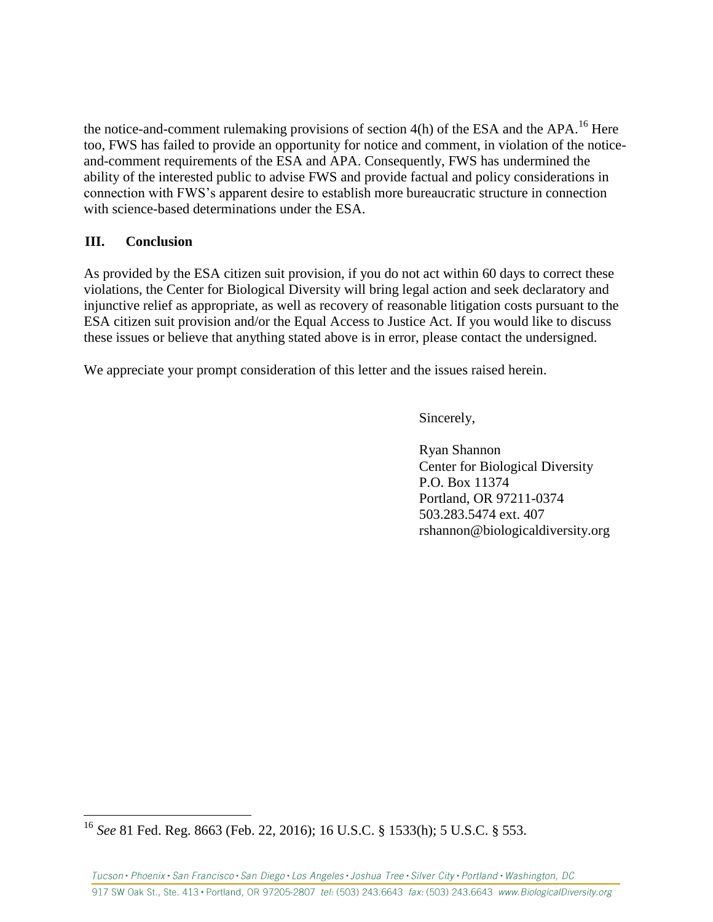the notice-and-comment rulemaking provisions of section  $4(h)$  of the ESA and the APA.<sup>16</sup> Here too, FWS has failed to provide an opportunity for notice and comment, in violation of the noticeand-comment requirements of the ESA and APA. Consequently, FWS has undermined the ability of the interested public to advise FWS and provide factual and policy considerations in connection with FWS's apparent desire to establish more bureaucratic structure in connection with science-based determinations under the ESA.

#### **III. Conclusion**

 $\overline{a}$ 

As provided by the ESA citizen suit provision, if you do not act within 60 days to correct these violations, the Center for Biological Diversity will bring legal action and seek declaratory and injunctive relief as appropriate, as well as recovery of reasonable litigation costs pursuant to the ESA citizen suit provision and/or the Equal Access to Justice Act. If you would like to discuss these issues or believe that anything stated above is in error, please contact the undersigned.

We appreciate your prompt consideration of this letter and the issues raised herein.

Sincerely,

Ryan Shannon Center for Biological Diversity P.O. Box 11374 Portland, OR 97211-0374 503.283.5474 ext. 407 rshannon@biologicaldiversity.org

<sup>16</sup> *See* 81 Fed. Reg. 8663 (Feb. 22, 2016); 16 U.S.C. § 1533(h); 5 U.S.C. § 553.